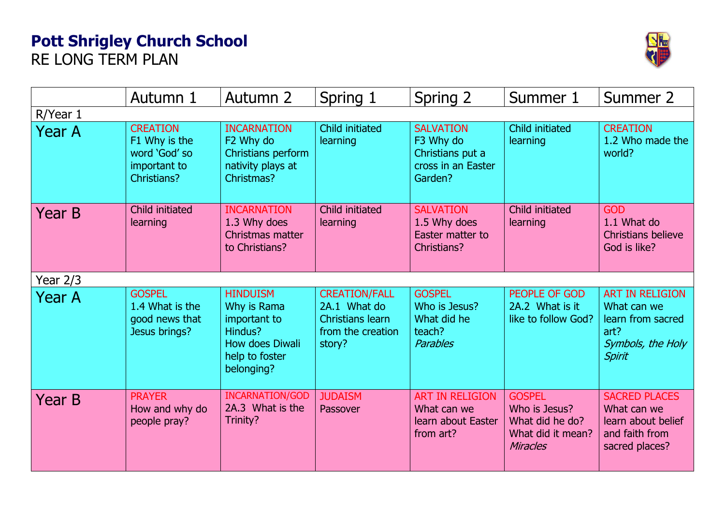## **Pott Shrigley Church School**  RE LONG TERM PLAN



|               | Autumn 1                                                                         | Autumn 2                                                                                                     | Spring 1                                                                                | Spring 2                                                                           | Summer 1                                                                                  | Summer 2                                                                                                 |  |  |  |  |
|---------------|----------------------------------------------------------------------------------|--------------------------------------------------------------------------------------------------------------|-----------------------------------------------------------------------------------------|------------------------------------------------------------------------------------|-------------------------------------------------------------------------------------------|----------------------------------------------------------------------------------------------------------|--|--|--|--|
| R/Year 1      |                                                                                  |                                                                                                              |                                                                                         |                                                                                    |                                                                                           |                                                                                                          |  |  |  |  |
| <b>Year A</b> | <b>CREATION</b><br>F1 Why is the<br>word 'God' so<br>important to<br>Christians? | <b>INCARNATION</b><br>F2 Why do<br>Christians perform<br>nativity plays at<br>Christmas?                     | Child initiated<br>learning                                                             | <b>SALVATION</b><br>F3 Why do<br>Christians put a<br>cross in an Easter<br>Garden? | Child initiated<br>learning                                                               | <b>CREATION</b><br>1.2 Who made the<br>world?                                                            |  |  |  |  |
| Year B        | Child initiated<br>learning                                                      | <b>INCARNATION</b><br>1.3 Why does<br>Christmas matter<br>to Christians?                                     | <b>Child initiated</b><br>learning                                                      | <b>SALVATION</b><br>1.5 Why does<br>Easter matter to<br>Christians?                | <b>Child initiated</b><br>learning                                                        | <b>GOD</b><br>1.1 What do<br><b>Christians believe</b><br>God is like?                                   |  |  |  |  |
| Year 2/3      |                                                                                  |                                                                                                              |                                                                                         |                                                                                    |                                                                                           |                                                                                                          |  |  |  |  |
| <b>Year A</b> | <b>GOSPEL</b><br>1.4 What is the<br>good news that<br>Jesus brings?              | <b>HINDUISM</b><br>Why is Rama<br>important to<br>Hindus?<br>How does Diwali<br>help to foster<br>belonging? | <b>CREATION/FALL</b><br>2A.1 What do<br>Christians learn<br>from the creation<br>story? | <b>GOSPEL</b><br>Who is Jesus?<br>What did he<br>teach?<br><b>Parables</b>         | PEOPLE OF GOD<br>2A.2 What is it<br>like to follow God?                                   | <b>ART IN RELIGION</b><br>What can we<br>learn from sacred<br>art?<br>Symbols, the Holy<br><b>Spirit</b> |  |  |  |  |
| Year B        | <b>PRAYER</b><br>How and why do<br>people pray?                                  | <b>INCARNATION/GOD</b><br>2A.3 What is the<br>Trinity?                                                       | <b>JUDAISM</b><br>Passover                                                              | <b>ART IN RELIGION</b><br>What can we<br>learn about Easter<br>from art?           | <b>GOSPEL</b><br>Who is Jesus?<br>What did he do?<br>What did it mean?<br><b>Miracles</b> | <b>SACRED PLACES</b><br>What can we<br>learn about belief<br>and faith from<br>sacred places?            |  |  |  |  |